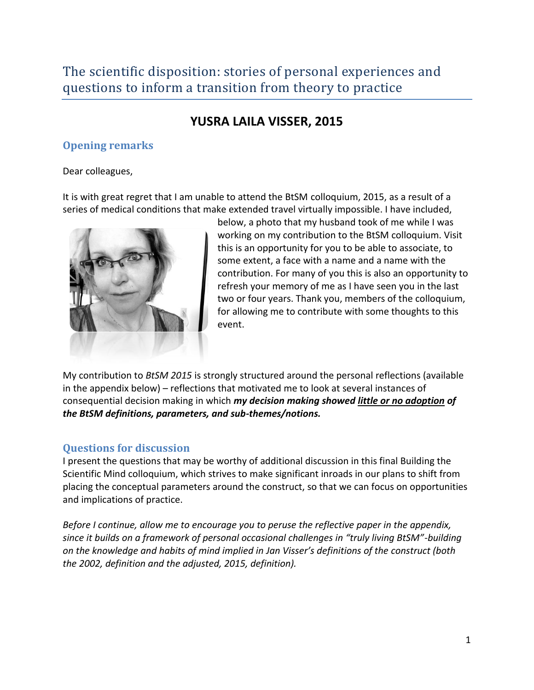## The scientific disposition: stories of personal experiences and questions to inform a transition from theory to practice

## **YUSRA LAILA VISSER, 2015**

## **Opening remarks**

Dear colleagues,

It is with great regret that I am unable to attend the BtSM colloquium, 2015, as a result of a series of medical conditions that make extended travel virtually impossible. I have included,



below, a photo that my husband took of me while I was working on my contribution to the BtSM colloquium. Visit this is an opportunity for you to be able to associate, to some extent, a face with a name and a name with the contribution. For many of you this is also an opportunity to refresh your memory of me as I have seen you in the last two or four years. Thank you, members of the colloquium, for allowing me to contribute with some thoughts to this event.

My contribution to *BtSM 2015* is strongly structured around the personal reflections (available in the appendix below) – reflections that motivated me to look at several instances of consequential decision making in which *my decision making showed little or no adoption of the BtSM definitions, parameters, and sub-themes/notions.*

### **Questions for discussion**

I present the questions that may be worthy of additional discussion in this final Building the Scientific Mind colloquium, which strives to make significant inroads in our plans to shift from placing the conceptual parameters around the construct, so that we can focus on opportunities and implications of practice.

*Before I continue, allow me to encourage you to peruse the reflective paper in the appendix, since it builds on a framework of personal occasional challenges in "truly living BtSM"-building on the knowledge and habits of mind implied in Jan Visser's definitions of the construct (both the 2002, definition and the adjusted, 2015, definition).*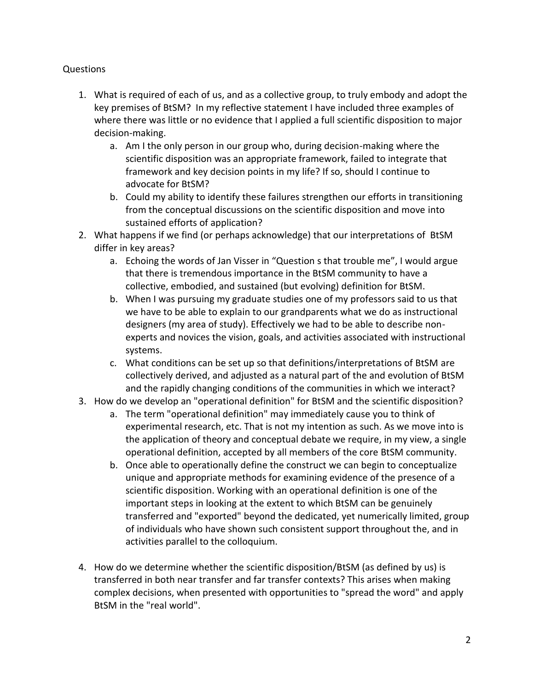#### Questions

- 1. What is required of each of us, and as a collective group, to truly embody and adopt the key premises of BtSM? In my reflective statement I have included three examples of where there was little or no evidence that I applied a full scientific disposition to major decision-making.
	- a. Am I the only person in our group who, during decision-making where the scientific disposition was an appropriate framework, failed to integrate that framework and key decision points in my life? If so, should I continue to advocate for BtSM?
	- b. Could my ability to identify these failures strengthen our efforts in transitioning from the conceptual discussions on the scientific disposition and move into sustained efforts of application?
- 2. What happens if we find (or perhaps acknowledge) that our interpretations of BtSM differ in key areas?
	- a. Echoing the words of Jan Visser in "Question s that trouble me", I would argue that there is tremendous importance in the BtSM community to have a collective, embodied, and sustained (but evolving) definition for BtSM.
	- b. When I was pursuing my graduate studies one of my professors said to us that we have to be able to explain to our grandparents what we do as instructional designers (my area of study). Effectively we had to be able to describe nonexperts and novices the vision, goals, and activities associated with instructional systems.
	- c. What conditions can be set up so that definitions/interpretations of BtSM are collectively derived, and adjusted as a natural part of the and evolution of BtSM and the rapidly changing conditions of the communities in which we interact?
- 3. How do we develop an "operational definition" for BtSM and the scientific disposition?
	- a. The term "operational definition" may immediately cause you to think of experimental research, etc. That is not my intention as such. As we move into is the application of theory and conceptual debate we require, in my view, a single operational definition, accepted by all members of the core BtSM community.
	- b. Once able to operationally define the construct we can begin to conceptualize unique and appropriate methods for examining evidence of the presence of a scientific disposition. Working with an operational definition is one of the important steps in looking at the extent to which BtSM can be genuinely transferred and "exported" beyond the dedicated, yet numerically limited, group of individuals who have shown such consistent support throughout the, and in activities parallel to the colloquium.
- 4. How do we determine whether the scientific disposition/BtSM (as defined by us) is transferred in both near transfer and far transfer contexts? This arises when making complex decisions, when presented with opportunities to "spread the word" and apply BtSM in the "real world".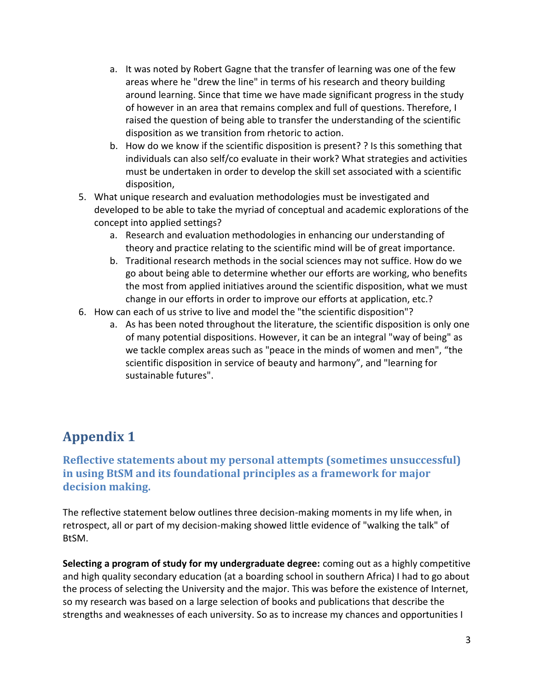- a. It was noted by Robert Gagne that the transfer of learning was one of the few areas where he "drew the line" in terms of his research and theory building around learning. Since that time we have made significant progress in the study of however in an area that remains complex and full of questions. Therefore, I raised the question of being able to transfer the understanding of the scientific disposition as we transition from rhetoric to action.
- b. How do we know if the scientific disposition is present? ? Is this something that individuals can also self/co evaluate in their work? What strategies and activities must be undertaken in order to develop the skill set associated with a scientific disposition,
- 5. What unique research and evaluation methodologies must be investigated and developed to be able to take the myriad of conceptual and academic explorations of the concept into applied settings?
	- a. Research and evaluation methodologies in enhancing our understanding of theory and practice relating to the scientific mind will be of great importance.
	- b. Traditional research methods in the social sciences may not suffice. How do we go about being able to determine whether our efforts are working, who benefits the most from applied initiatives around the scientific disposition, what we must change in our efforts in order to improve our efforts at application, etc.?
- 6. How can each of us strive to live and model the "the scientific disposition"?
	- a. As has been noted throughout the literature, the scientific disposition is only one of many potential dispositions. However, it can be an integral "way of being" as we tackle complex areas such as "peace in the minds of women and men", "the scientific disposition in service of beauty and harmony", and "learning for sustainable futures".

# **Appendix 1**

### **Reflective statements about my personal attempts (sometimes unsuccessful) in using BtSM and its foundational principles as a framework for major decision making.**

The reflective statement below outlines three decision-making moments in my life when, in retrospect, all or part of my decision-making showed little evidence of "walking the talk" of BtSM.

**Selecting a program of study for my undergraduate degree:** coming out as a highly competitive and high quality secondary education (at a boarding school in southern Africa) I had to go about the process of selecting the University and the major. This was before the existence of Internet, so my research was based on a large selection of books and publications that describe the strengths and weaknesses of each university. So as to increase my chances and opportunities I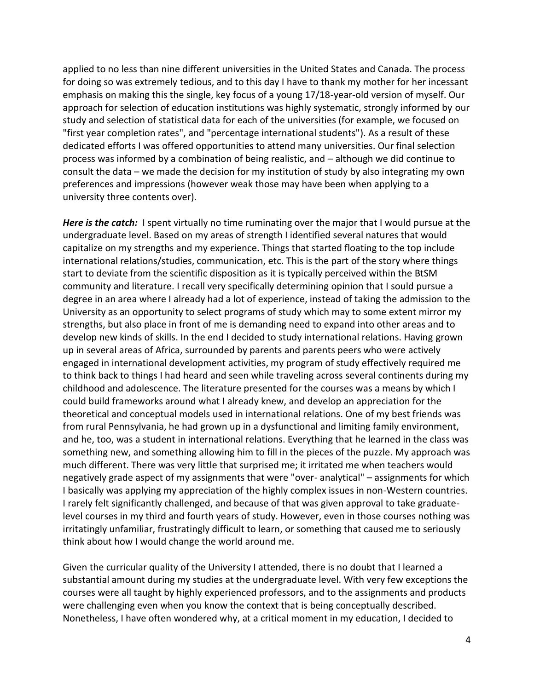applied to no less than nine different universities in the United States and Canada. The process for doing so was extremely tedious, and to this day I have to thank my mother for her incessant emphasis on making this the single, key focus of a young 17/18-year-old version of myself. Our approach for selection of education institutions was highly systematic, strongly informed by our study and selection of statistical data for each of the universities (for example, we focused on "first year completion rates", and "percentage international students"). As a result of these dedicated efforts I was offered opportunities to attend many universities. Our final selection process was informed by a combination of being realistic, and – although we did continue to consult the data – we made the decision for my institution of study by also integrating my own preferences and impressions (however weak those may have been when applying to a university three contents over).

*Here is the catch:* I spent virtually no time ruminating over the major that I would pursue at the undergraduate level. Based on my areas of strength I identified several natures that would capitalize on my strengths and my experience. Things that started floating to the top include international relations/studies, communication, etc. This is the part of the story where things start to deviate from the scientific disposition as it is typically perceived within the BtSM community and literature. I recall very specifically determining opinion that I sould pursue a degree in an area where I already had a lot of experience, instead of taking the admission to the University as an opportunity to select programs of study which may to some extent mirror my strengths, but also place in front of me is demanding need to expand into other areas and to develop new kinds of skills. In the end I decided to study international relations. Having grown up in several areas of Africa, surrounded by parents and parents peers who were actively engaged in international development activities, my program of study effectively required me to think back to things I had heard and seen while traveling across several continents during my childhood and adolescence. The literature presented for the courses was a means by which I could build frameworks around what I already knew, and develop an appreciation for the theoretical and conceptual models used in international relations. One of my best friends was from rural Pennsylvania, he had grown up in a dysfunctional and limiting family environment, and he, too, was a student in international relations. Everything that he learned in the class was something new, and something allowing him to fill in the pieces of the puzzle. My approach was much different. There was very little that surprised me; it irritated me when teachers would negatively grade aspect of my assignments that were "over- analytical" – assignments for which I basically was applying my appreciation of the highly complex issues in non-Western countries. I rarely felt significantly challenged, and because of that was given approval to take graduatelevel courses in my third and fourth years of study. However, even in those courses nothing was irritatingly unfamiliar, frustratingly difficult to learn, or something that caused me to seriously think about how I would change the world around me.

Given the curricular quality of the University I attended, there is no doubt that I learned a substantial amount during my studies at the undergraduate level. With very few exceptions the courses were all taught by highly experienced professors, and to the assignments and products were challenging even when you know the context that is being conceptually described. Nonetheless, I have often wondered why, at a critical moment in my education, I decided to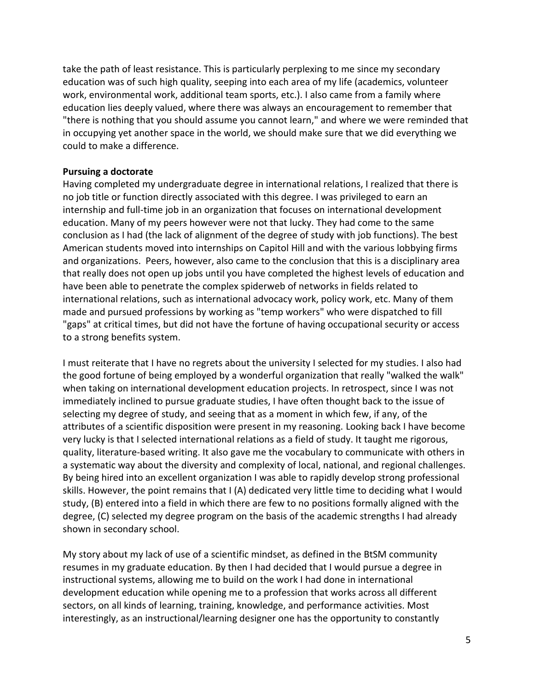take the path of least resistance. This is particularly perplexing to me since my secondary education was of such high quality, seeping into each area of my life (academics, volunteer work, environmental work, additional team sports, etc.). I also came from a family where education lies deeply valued, where there was always an encouragement to remember that "there is nothing that you should assume you cannot learn," and where we were reminded that in occupying yet another space in the world, we should make sure that we did everything we could to make a difference.

#### **Pursuing a doctorate**

Having completed my undergraduate degree in international relations, I realized that there is no job title or function directly associated with this degree. I was privileged to earn an internship and full-time job in an organization that focuses on international development education. Many of my peers however were not that lucky. They had come to the same conclusion as I had (the lack of alignment of the degree of study with job functions). The best American students moved into internships on Capitol Hill and with the various lobbying firms and organizations. Peers, however, also came to the conclusion that this is a disciplinary area that really does not open up jobs until you have completed the highest levels of education and have been able to penetrate the complex spiderweb of networks in fields related to international relations, such as international advocacy work, policy work, etc. Many of them made and pursued professions by working as "temp workers" who were dispatched to fill "gaps" at critical times, but did not have the fortune of having occupational security or access to a strong benefits system.

I must reiterate that I have no regrets about the university I selected for my studies. I also had the good fortune of being employed by a wonderful organization that really "walked the walk" when taking on international development education projects. In retrospect, since I was not immediately inclined to pursue graduate studies, I have often thought back to the issue of selecting my degree of study, and seeing that as a moment in which few, if any, of the attributes of a scientific disposition were present in my reasoning. Looking back I have become very lucky is that I selected international relations as a field of study. It taught me rigorous, quality, literature-based writing. It also gave me the vocabulary to communicate with others in a systematic way about the diversity and complexity of local, national, and regional challenges. By being hired into an excellent organization I was able to rapidly develop strong professional skills. However, the point remains that I (A) dedicated very little time to deciding what I would study, (B) entered into a field in which there are few to no positions formally aligned with the degree, (C) selected my degree program on the basis of the academic strengths I had already shown in secondary school.

My story about my lack of use of a scientific mindset, as defined in the BtSM community resumes in my graduate education. By then I had decided that I would pursue a degree in instructional systems, allowing me to build on the work I had done in international development education while opening me to a profession that works across all different sectors, on all kinds of learning, training, knowledge, and performance activities. Most interestingly, as an instructional/learning designer one has the opportunity to constantly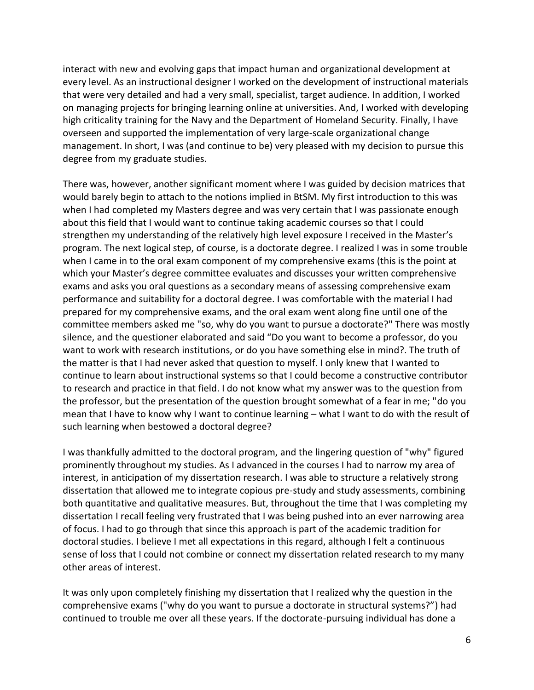interact with new and evolving gaps that impact human and organizational development at every level. As an instructional designer I worked on the development of instructional materials that were very detailed and had a very small, specialist, target audience. In addition, I worked on managing projects for bringing learning online at universities. And, I worked with developing high criticality training for the Navy and the Department of Homeland Security. Finally, I have overseen and supported the implementation of very large-scale organizational change management. In short, I was (and continue to be) very pleased with my decision to pursue this degree from my graduate studies.

There was, however, another significant moment where I was guided by decision matrices that would barely begin to attach to the notions implied in BtSM. My first introduction to this was when I had completed my Masters degree and was very certain that I was passionate enough about this field that I would want to continue taking academic courses so that I could strengthen my understanding of the relatively high level exposure I received in the Master's program. The next logical step, of course, is a doctorate degree. I realized I was in some trouble when I came in to the oral exam component of my comprehensive exams (this is the point at which your Master's degree committee evaluates and discusses your written comprehensive exams and asks you oral questions as a secondary means of assessing comprehensive exam performance and suitability for a doctoral degree. I was comfortable with the material I had prepared for my comprehensive exams, and the oral exam went along fine until one of the committee members asked me "so, why do you want to pursue a doctorate?" There was mostly silence, and the questioner elaborated and said "Do you want to become a professor, do you want to work with research institutions, or do you have something else in mind?. The truth of the matter is that I had never asked that question to myself. I only knew that I wanted to continue to learn about instructional systems so that I could become a constructive contributor to research and practice in that field. I do not know what my answer was to the question from the professor, but the presentation of the question brought somewhat of a fear in me; "do you mean that I have to know why I want to continue learning – what I want to do with the result of such learning when bestowed a doctoral degree?

I was thankfully admitted to the doctoral program, and the lingering question of "why" figured prominently throughout my studies. As I advanced in the courses I had to narrow my area of interest, in anticipation of my dissertation research. I was able to structure a relatively strong dissertation that allowed me to integrate copious pre-study and study assessments, combining both quantitative and qualitative measures. But, throughout the time that I was completing my dissertation I recall feeling very frustrated that I was being pushed into an ever narrowing area of focus. I had to go through that since this approach is part of the academic tradition for doctoral studies. I believe I met all expectations in this regard, although I felt a continuous sense of loss that I could not combine or connect my dissertation related research to my many other areas of interest.

It was only upon completely finishing my dissertation that I realized why the question in the comprehensive exams ("why do you want to pursue a doctorate in structural systems?") had continued to trouble me over all these years. If the doctorate-pursuing individual has done a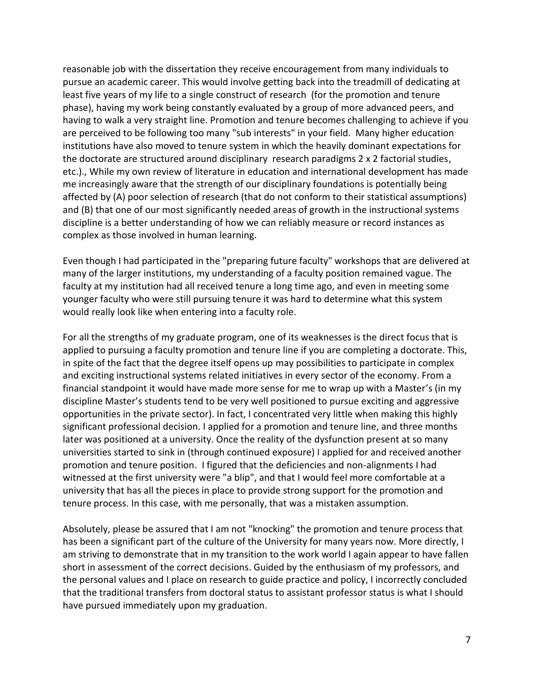reasonable job with the dissertation they receive encouragement from many individuals to pursue an academic career. This would involve getting back into the treadmill of dedicating at least five years of my life to a single construct of research (for the promotion and tenure phase), having my work being constantly evaluated by a group of more advanced peers, and having to walk a very straight line. Promotion and tenure becomes challenging to achieve if you are perceived to be following too many "sub interests" in your field. Many higher education institutions have also moved to tenure system in which the heavily dominant expectations for the doctorate are structured around disciplinary research paradigms 2 x 2 factorial studies, etc.)., While my own review of literature in education and international development has made me increasingly aware that the strength of our disciplinary foundations is potentially being affected by (A) poor selection of research (that do not conform to their statistical assumptions) and (B) that one of our most significantly needed areas of growth in the instructional systems discipline is a better understanding of how we can reliably measure or record instances as complex as those involved in human learning.

Even though I had participated in the "preparing future faculty" workshops that are delivered at many of the larger institutions, my understanding of a faculty position remained vague. The faculty at my institution had all received tenure a long time ago, and even in meeting some younger faculty who were still pursuing tenure it was hard to determine what this system would really look like when entering into a faculty role.

For all the strengths of my graduate program, one of its weaknesses is the direct focus that is applied to pursuing a faculty promotion and tenure line if you are completing a doctorate. This, in spite of the fact that the degree itself opens up may possibilities to participate in complex and exciting instructional systems related initiatives in every sector of the economy. From a financial standpoint it would have made more sense for me to wrap up with a Master's (in my discipline Master's students tend to be very well positioned to pursue exciting and aggressive opportunities in the private sector). In fact, I concentrated very little when making this highly significant professional decision. I applied for a promotion and tenure line, and three months later was positioned at a university. Once the reality of the dysfunction present at so many universities started to sink in (through continued exposure) I applied for and received another promotion and tenure position. I figured that the deficiencies and non-alignments I had witnessed at the first university were "a blip", and that I would feel more comfortable at a university that has all the pieces in place to provide strong support for the promotion and tenure process. In this case, with me personally, that was a mistaken assumption.

Absolutely, please be assured that I am not "knocking" the promotion and tenure process that has been a significant part of the culture of the University for many years now. More directly, I am striving to demonstrate that in my transition to the work world I again appear to have fallen short in assessment of the correct decisions. Guided by the enthusiasm of my professors, and the personal values and I place on research to guide practice and policy, I incorrectly concluded that the traditional transfers from doctoral status to assistant professor status is what I should have pursued immediately upon my graduation.